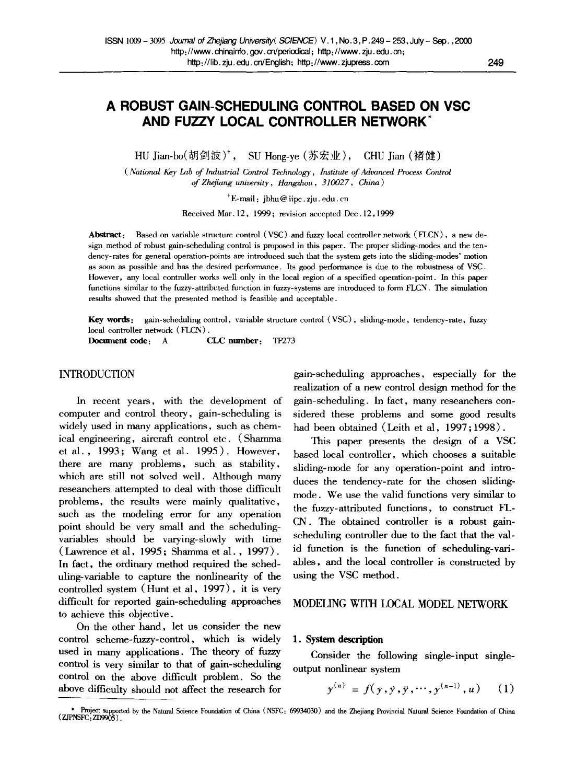# **A ROBUST GAIN-SCHEDULING CONTROL BASED ON VSC AND FUZZY LOCAL CONTROLLER NETWORK**

HU Jian-bo(胡剑波)<sup>†</sup>, SU Hong-ye (苏宏业), CHU Jian (褚健)

*( National Key Lab of Industrial Control Technology, Institute of Advanced Process Control of Zhejiang university, Hangzhou, 310027, China )* 

 $+E$ -mail: jbhu@ iipc. zju. edu. cn

Received Mar. 12, 1999; revision accepted Dec. 12, 1999

Abstract: Based on variable structure control (VSC) and fuzzy local controller network (FLCN), a new design method of robust gain-scheduling control is proposed in this paper. The proper sliding-modes and the tendency-rates for general operation-points are introduced such that the system gets into the sliding-modes' motion as soon as possible and has the desired performance. Its good performance is due to the robustness of VSC. However, any local controller works well only in the local region of a specified operation-point. In this paper functions similar to the fuzzy-attributed function in fuzzy-systems are introduced to form FLCN. The simulation results showed that the presented method is feasible and acceptable.

**Key** words: gain-scheduling control, variable structure control (VSC), sliding-mode, tendency-rate, fuzzy local controller network ( FLCN).

Docmnent code: A CLC **number:** TP273

# INTRODUCTION

In recent years, with the development of computer and control theory, gain-scheduling is widely used in many applications, such as chemical engineering, aircraft control etc. (Shamma et al., 1993; Wang et al. 1995). However, there are many problems, such as stability, which are still not solved well. Although many reseanchers attempted to deal with those difficult problems, the results were mainly qualitative, such as the modeling error for any operation point should be very small and the schedulingvariables should be varying-slowly with time (Lawrence et al, 1995; Shamma et al. , 1997). In fact, the ordinary method required the scheduling-variable to capture the nonlinearity of the controlled system (Hunt et al, 1997), it is very difficult for reported gain-scheduling approaches to achieve this objective.

On the other hand, let us consider the new control scheme-fuzzy-control, which is widely used in many applications. The theory of fuzzy control is very similar to that of gain-scheduling control on the above difficult problem. So the above difficulty should not affect the research for

gain-scheduling approaches, especially for the realization of a new control design method for the gain-scheduling. In fact, many reseanchers considered these problems and some good results had been obtained (Leith et al, 1997; 1998).

This paper presents the design of a VSC based local controller, which chooses a suitable sliding-mode for any operation-point and introduces the tendency-rate for the chosen slidingmode. We use the valid functions very similar to the fuzzy-attributed functions, to construct FL-CN. The obtained controller is a robust gainscheduling controller due to the fact that the valid function is the function of scheduling-variables, and the local controller is constructed by using the VSC method.

## MODELING WITH LOCAL MODEL NETWORK

#### **1. System description**

Consider the following single-input singleoutput nonlinear system

$$
y^{(n)} = f(y, y, y, \cdots, y^{(n-1)}, u) \quad (1)
$$

<sup>\*</sup> Project supported by the Natural Science Foundation of China ( NSFC: 69934030) and the Zhejiang Provincial Natural Science Foundation of China ZJPNSFC: ZD9905 ).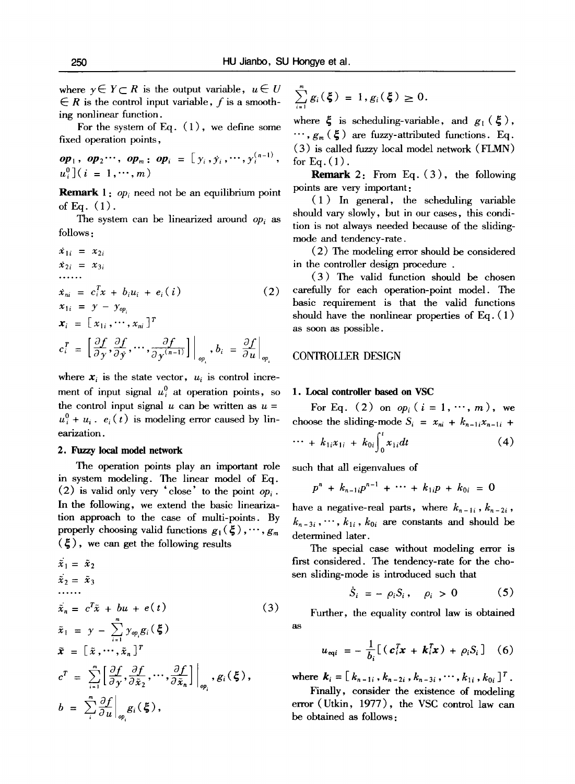where  $y \in Y \subset R$  is the output variable,  $u \in U$  $\in$  R is the control input variable, f is a smoothing nonlinear function.

For the system of Eq.  $(1)$ , we define some fixed operation points,

$$
\mathbf{op}_1, \ \mathbf{op}_2 \cdots, \ \mathbf{op}_m \colon \mathbf{op}_i = [y_i, y_i, \cdots, y_i^{(n-1)},
$$
  

$$
u_i^0] (i = 1, \cdots, m)
$$

**Remark** 1: *op<sub>i</sub>* need not be an equilibrium point of Eq.  $(1)$ .

The system can be linearized around *op*, as follows :

$$
\dot{x}_{1i} = x_{2i}
$$
\n
$$
\dot{x}_{2i} = x_{3i}
$$
\n
$$
\dot{x}_{ni} = c_i^T x + b_i u_i + e_i(i)
$$
\n
$$
x_{1i} = y - y_{\varphi_i}
$$
\n
$$
\dot{x}_i = [x_{1i}, \dots, x_{ni}]^T
$$
\n
$$
c_i^T = \left[\frac{\partial f}{\partial y}, \frac{\partial f}{\partial y}, \dots, \frac{\partial f}{\partial y^{(n-1)}}\right]\Big|_{\varphi_i}, b_i = \frac{\partial f}{\partial u}\Big|_{\varphi_i}
$$

where  $x_i$  is the state vector,  $u_i$  is control increment of input signal  $u_i^0$  at operation points, so the control input signal  $u$  can be written as  $u =$  $u_i^0 + u_i$ .  $e_i(t)$  is modeling error caused by linearization.

#### **2.** Fuzzy local **model network**

The operation points play an important role in system modeling. The linear model of Eq. (2) is valid only very 'close' to the point  $op_i$ . In the following, we extend the basic linearization approach to the case of multi-points. By properly choosing valid functions  $g_1(\xi), \cdots, g_m$  $(\xi)$ , we can get the following results

$$
\tilde{x}_1 = \tilde{x}_2
$$
\n
$$
\tilde{x}_2 = \tilde{x}_3
$$
\n
$$
\dots
$$
\n
$$
\tilde{x}_n = c^T \tilde{x} + bu + e(t)
$$
\n
$$
\tilde{x}_1 = y - \sum_{i=1}^m y_{op_i} g_i(\xi)
$$
\n
$$
\tilde{x} = [\tilde{x}, \dots, \tilde{x}_n]^T
$$
\n
$$
c^T = \sum_{i=1}^n \left[ \frac{\partial f}{\partial y}, \frac{\partial f}{\partial \tilde{x}_2}, \dots, \frac{\partial f}{\partial \tilde{x}_n} \right] \Big|_{op_i}, g_i(\xi),
$$
\n
$$
b = \sum_{i=1}^m \frac{\partial f}{\partial u} \Big|_{op_i} g_i(\xi),
$$

$$
\sum_{i=1}^{m} g_i(\xi) = 1, g_i(\xi) \geq 0.
$$

where  $\xi$  is scheduling-variable, and  $g_1(\xi)$ ,  $\cdots$ ,  $g_m$  ( $\xi$ ) are fuzzy-attributed functions. Eq. (3) is called fuzzy local model network (FLMN) for Eq.  $(1)$ .

**Remark 2:** From Eq. ( 3 ), the following points are very important:

(1) In general, the scheduling variable should vary slowly, but in our eases, this condition is not always needed because of the slidingmode and tendency-rate.

(2) The modeling error should be considered in the controller design procedure .

(3) The valid function should be chosen carefully for each operation-point model. The basic requirement is that the valid functions should have the nonlinear properties of Eq. ( 1 ) as soon as possible.

# CONTROLLER DESIGN

#### **1. Local controller based on VSC**

For Eq. (2) on  $op_i$  ( $i = 1, \dots, m$ ), we choose the sliding-mode  $S_i = x_{ni} + k_{n-1i}x_{n-1i} + \cdots + k_{1i}x_{1i} + k_{0i} \int_a^t x_{1i} dt$  (4)

$$
\cdots + k_{1i}x_{1i} + k_{0i} \int_0^{\infty} x_{1i} dt \qquad (4)
$$

such that all eigenvalues of

$$
p^{n} + k_{n-1}p^{n-1} + \cdots + k_{1}p + k_{0i} = 0
$$

have a negative-real parts, where  $k_{n-1i}$ ,  $k_{n-2i}$ ,  $k_{n-3i}$ ,  $\cdots$ ,  $k_{1i}$ ,  $k_{0i}$  are constants and should be determined later.

The special case without modeling error is first considered. The tendency-rate for the chosen sliding-mode is introduced such that

$$
\dot{S}_i = -\rho_i S_i, \quad \rho_i > 0 \tag{5}
$$

Further, the equality control law is obtained as

$$
u_{\text{eq}i} = -\frac{1}{b_i} \big[ \left( c_i^T \mathbf{x} + \mathbf{k}_i^T \mathbf{x} \right) + \rho_i S_i \big] \quad (6)
$$

where  $k_i = [k_{n-1i}, k_{n-2i}, k_{n-3i}, \cdots, k_{1i}, k_{0i}]^T$ .

Finally, consider the existence of modeling error (Utkin, 1977), the VSC control law can be obtained as follows: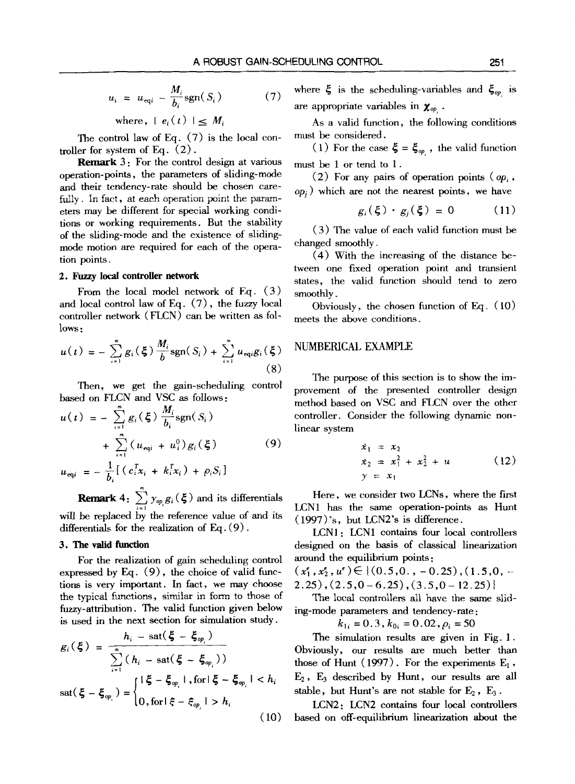$$
u_i = u_{\text{eq}i} - \frac{M_i}{b_i} \text{sgn}(S_i)
$$
 (7)

where,  $|e_i(t)| \leq M_i$ 

The control law of Eq. (7) is the local controller for system of Eq. (2).

**Remark 3:** For the control design at various operation-points, the parameters of sliding-mode and their tendency-rate should be chosen carefully. In fact, at each operation point the parameters may be different for special working conditions or working requirements. But the stability of the sliding-mode and the existence of slidingmode motion are required for each of the operation points.

#### **2. Fuzzy local controller network**

From the local model network of Eq. (3) and local control law of Eq. (7), the fuzzy local controller network (FLCN) can be written as follows:

$$
u(t) = -\sum_{i=1}^{m} g_i(\xi) \frac{M_i}{b} \text{sgn}(S_i) + \sum_{i=1}^{m} u_{\text{eqi}} g_i(\xi)
$$
\n(8)

Then, we get the gain-scheduling control based on FLCN and VSC as follows:

$$
u(t) = -\sum_{i=1}^{n} g_i(\xi) \frac{M_i}{b_i} \text{sgn}(S_i)
$$
  
+ 
$$
\sum_{i=1}^{n} (u_{\text{eq}i} + u_i^0) g_i(\xi)
$$
  

$$
u_{\text{eq}i} = -\frac{1}{b_i} [ (c_i^T x_i + k_i^T x_i) + \rho_i S_i ]
$$
 (9)

**Remark** 4:  $\sum_{i=1}^{n} y_{op} g_i(\xi)$  and its differentials will be replaced by the reference value of and its differentials for the realization of  $Eq. (9)$ .

# 3. The valid function

For the realization of gain scheduling control expressed by Eq. (9), the choice of valid functions is very important. In fact, we may choose the typical functions, similar in form to those of fuzzy-attribution. The valid function given below is used in the next section for simulation study.

$$
g_i(\xi) = \frac{h_i - \text{sat}(\xi - \xi_{op_i})}{\sum_{i=1}^{m} (h_i - \text{sat}(\xi - \xi_{op_i}))}
$$
  

$$
\text{sat}(\xi - \xi_{op_i}) = \begin{cases} |\xi - \xi_{op_i}|, \text{for } |\xi - \xi_{op_i}| < h_i \\ 0, \text{for } |\xi - \xi_{op_i}| > h_i \end{cases}
$$
(10)

where  $\xi$  is the scheduling-variables and  $\xi_{op}$  is are appropriate variables in  $\chi_{op}$ .

As a valid function, the following conditions must be considered.

(1) For the case  $\boldsymbol{\xi} = \boldsymbol{\xi}_{op}$ , the valid function must be 1 or tend to 1.

(2) For any pairs of operation points  $(\rho_{ij}, \rho_{ij})$ *opj )* which are not the nearest points, we have

$$
g_i(\xi) \cdot g_i(\xi) = 0 \qquad (11)
$$

(3) The value of each valid function must be changed smoothly.

(4) With the increasing of the distance between one fixed operation point and transient states, the valid function should tend to zero smoothly.

Obviously, the chosen function of Eq. (10) meets the above conditions.

## NUMBER1CAL EXAMPLE

The purpose of this section is to show the improvement of the presented controller design method based on VSC and FLCN over the other controller. Consider the following dynamic nonlinear system

$$
\dot{x}_1 = x_2 \n\dot{x}_2 = x_1^2 + x_2^2 + u
$$
\n(12)  
\n
$$
y = x_1
$$

Here, we consider two LCNs, where the first LCN1 has the same operation-points as Hunt (1997)'s, but LCN2's is difference.

LCNI: LCN1 contains four local controllers designed on the basis of classical linearization around the equilibrium points:

 $(x_1^e, x_2^e, u^e) \in \{(0.5, 0., -0.25), (1.5, 0, -0.5)\}$  $2.25)$ ,  $(2.5,0-6.25)$ ,  $(3.5,0-12.25)$ 

The local controllers all have the same sliding-mode parameters and tendency-rate:

 $k_{1i} = 0.3$ ,  $k_{0i} = 0.02$ ,  $\rho_i = 50$ 

The simulation results are given in Fig. 1. Obviously, our results are much better than those of Hunt (1997). For the experiments  $E_1$ ,  $E_2$ ,  $E_3$  described by Hunt, our results are all stable, but Hunt's are not stable for  $E_2$ ,  $E_3$ .

LCN2: LCN2 contains four local controllers based on off-equilibrium linearization about the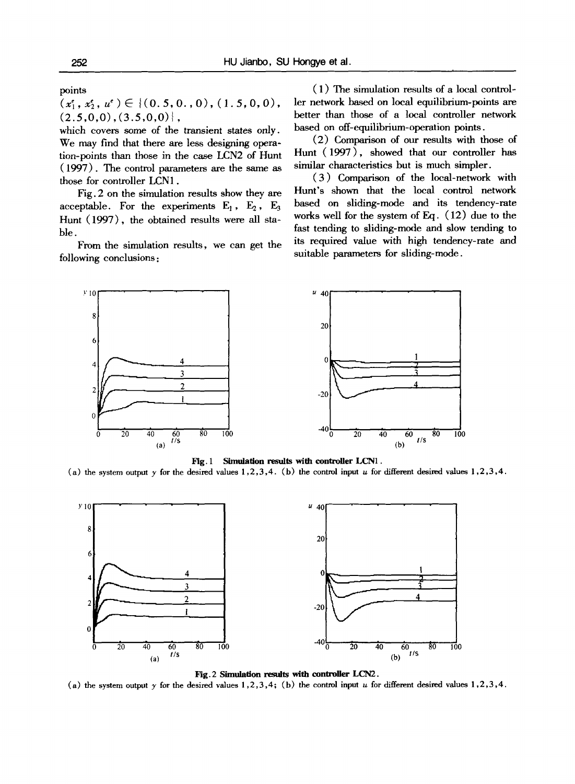points

 $(x_1^{\epsilon}, x_2^{\epsilon}, u^{\epsilon}) \in \{(0.5, 0.0, 0), (1.5, 0, 0),\}$  $(2.5,0,0), (3.5,0,0)$ ,

which covers some of the transient states only. We may find that there are less designing operation-points than those in the case LCN2 of Hunt (1997). The control parameters are the same as those for controller LCN1.

Fig. 2 on the simulation results show they are acceptable. For the experiments  $E_1$ ,  $E_2$ ,  $E_3$ Hunt (1997), the obtained results were all stable.

From the simulation results, we can get the following conclusions :

(1) The simulation results of a local controller network based on local equilibrium-points are better than those of a local controller network based on off-equilibrium-operation points.

(2) Comparison of our results with those of Hunt (1997), showed that our controller has similar characteristics but is much simpler.

(3) Comparison of the local-network with Hunt's shown that the local control network based on sliding-mode and its tendency-rate works well for the system of Eq. (12) due to the fast tending to sliding-mode and slow tending to its required value with high tendency-rate and suitable parameters for sliding-mode.



#### Fig. I Simulation results with controller LCNI.

(a) the system output y for the desired values  $1,2,3,4$ . (b) the control input u for different desired values  $1,2,3,4$ .



Fig. 2 Simulation results with controller LCN2. (a) the system output  $\gamma$  for the desired values 1,2,3,4; (b) the control input u for different desired values 1,2,3,4.